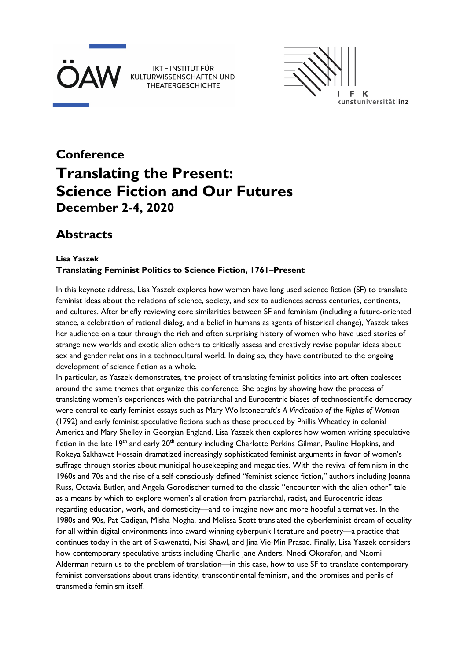

 $\mathbf K$ kunstuniversitätlinz

# **Conference Translating the Present: Science Fiction and Our Futures December 2-4, 2020**

## **Abstracts**

## **Lisa Yaszek Translating Feminist Politics to Science Fiction, 1761–Present**

In this keynote address, Lisa Yaszek explores how women have long used science fiction (SF) to translate feminist ideas about the relations of science, society, and sex to audiences across centuries, continents, and cultures. After briefly reviewing core similarities between SF and feminism (including a future-oriented stance, a celebration of rational dialog, and a belief in humans as agents of historical change), Yaszek takes her audience on a tour through the rich and often surprising history of women who have used stories of strange new worlds and exotic alien others to critically assess and creatively revise popular ideas about sex and gender relations in a technocultural world. In doing so, they have contributed to the ongoing development of science fiction as a whole.

In particular, as Yaszek demonstrates, the project of translating feminist politics into art often coalesces around the same themes that organize this conference. She begins by showing how the process of translating women's experiences with the patriarchal and Eurocentric biases of technoscientific democracy were central to early feminist essays such as Mary Wollstonecraft's *A Vindication of the Rights of Woman* (1792) and early feminist speculative fictions such as those produced by Phillis Wheatley in colonial America and Mary Shelley in Georgian England. Lisa Yaszek then explores how women writing speculative fiction in the late 19<sup>th</sup> and early 20<sup>th</sup> century including Charlotte Perkins Gilman, Pauline Hopkins, and Rokeya Sakhawat Hossain dramatized increasingly sophisticated feminist arguments in favor of women's suffrage through stories about municipal housekeeping and megacities. With the revival of feminism in the 1960s and 70s and the rise of a self-consciously defined "feminist science fiction," authors including Joanna Russ, Octavia Butler, and Angela Gorodischer turned to the classic "encounter with the alien other" tale as a means by which to explore women's alienation from patriarchal, racist, and Eurocentric ideas regarding education, work, and domesticity—and to imagine new and more hopeful alternatives. In the 1980s and 90s, Pat Cadigan, Misha Nogha, and Melissa Scott translated the cyberfeminist dream of equality for all within digital environments into award-winning cyberpunk literature and poetry—a practice that continues today in the art of Skawenatti, Nisi Shawl, and Jina Vie-Min Prasad. Finally, Lisa Yaszek considers how contemporary speculative artists including Charlie Jane Anders, Nnedi Okorafor, and Naomi Alderman return us to the problem of translation—in this case, how to use SF to translate contemporary feminist conversations about trans identity, transcontinental feminism, and the promises and perils of transmedia feminism itself.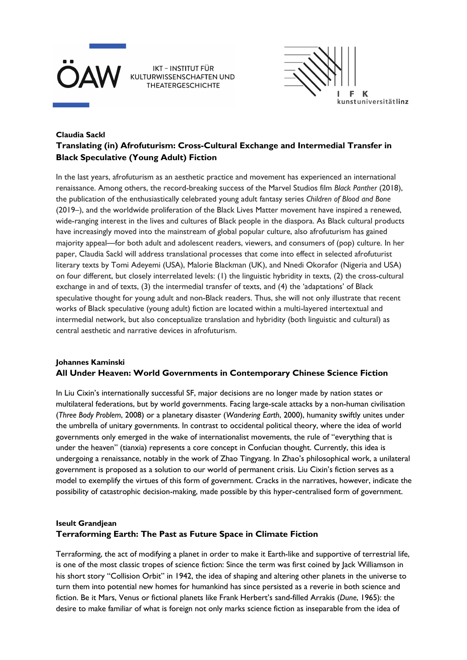



## **Claudia Sackl Translating (in) Afrofuturism: Cross-Cultural Exchange and Intermedial Transfer in Black Speculative (Young Adult) Fiction**

In the last years, afrofuturism as an aesthetic practice and movement has experienced an international renaissance. Among others, the record-breaking success of the Marvel Studios film *Black Panther* (2018), the publication of the enthusiastically celebrated young adult fantasy series *Children of Blood and Bone* (2019–), and the worldwide proliferation of the Black Lives Matter movement have inspired a renewed, wide-ranging interest in the lives and cultures of Black people in the diaspora. As Black cultural products have increasingly moved into the mainstream of global popular culture, also afrofuturism has gained majority appeal—for both adult and adolescent readers, viewers, and consumers of (pop) culture. In her paper, Claudia Sackl will address translational processes that come into effect in selected afrofuturist literary texts by Tomi Adeyemi (USA), Malorie Blackman (UK), and Nnedi Okorafor (Nigeria and USA) on four different, but closely interrelated levels: (1) the linguistic hybridity in texts, (2) the cross-cultural exchange in and of texts, (3) the intermedial transfer of texts, and (4) the 'adaptations' of Black speculative thought for young adult and non-Black readers. Thus, she will not only illustrate that recent works of Black speculative (young adult) fiction are located within a multi-layered intertextual and intermedial network, but also conceptualize translation and hybridity (both linguistic and cultural) as central aesthetic and narrative devices in afrofuturism.

## **Johannes Kaminski All Under Heaven: World Governments in Contemporary Chinese Science Fiction**

In Liu Cixin's internationally successful SF, major decisions are no longer made by nation states or multilateral federations, but by world governments. Facing large-scale attacks by a non-human civilisation (*Three Body Problem*, 2008) or a planetary disaster (*Wandering Earth*, 2000), humanity swiftly unites under the umbrella of unitary governments. In contrast to occidental political theory, where the idea of world governments only emerged in the wake of internationalist movements, the rule of "everything that is under the heaven" (tianxia) represents a core concept in Confucian thought. Currently, this idea is undergoing a renaissance, notably in the work of Zhao Tingyang. In Zhao's philosophical work, a unilateral government is proposed as a solution to our world of permanent crisis. Liu Cixin's fiction serves as a model to exemplify the virtues of this form of government. Cracks in the narratives, however, indicate the possibility of catastrophic decision-making, made possible by this hyper-centralised form of government.

## **Iseult Grandjean Terraforming Earth: The Past as Future Space in Climate Fiction**

Terraforming, the act of modifying a planet in order to make it Earth-like and supportive of terrestrial life, is one of the most classic tropes of science fiction: Since the term was first coined by Jack Williamson in his short story "Collision Orbit" in 1942, the idea of shaping and altering other planets in the universe to turn them into potential new homes for humankind has since persisted as a reverie in both science and fiction. Be it Mars, Venus or fictional planets like Frank Herbert's sand-filled Arrakis (*Dune*, 1965): the desire to make familiar of what is foreign not only marks science fiction as inseparable from the idea of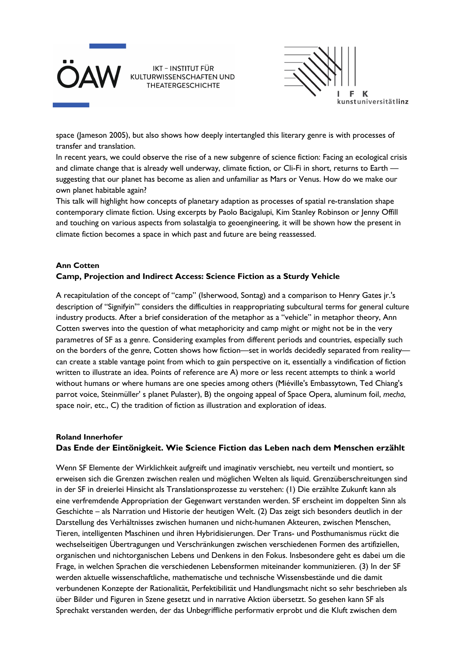



space (Jameson 2005), but also shows how deeply intertangled this literary genre is with processes of transfer and translation.

In recent years, we could observe the rise of a new subgenre of science fiction: Facing an ecological crisis and climate change that is already well underway, climate fiction, or Cli-Fi in short, returns to Earth suggesting that our planet has become as alien and unfamiliar as Mars or Venus. How do we make our own planet habitable again?

This talk will highlight how concepts of planetary adaption as processes of spatial re-translation shape contemporary climate fiction. Using excerpts by Paolo Bacigalupi, Kim Stanley Robinson or Jenny Offill and touching on various aspects from solastalgia to geoengineering, it will be shown how the present in climate fiction becomes a space in which past and future are being reassessed.

## **Ann Cotten Camp, Projection and Indirect Access: Science Fiction as a Sturdy Vehicle**

A recapitulation of the concept of "camp" (Isherwood, Sontag) and a comparison to Henry Gates jr.'s description of "Signifyin'" considers the difficulties in reappropriating subcultural terms for general culture industry products. After a brief consideration of the metaphor as a "vehicle" in metaphor theory, Ann Cotten swerves into the question of what metaphoricity and camp might or might not be in the very parametres of SF as a genre. Considering examples from different periods and countries, especially such on the borders of the genre, Cotten shows how fiction—set in worlds decidedly separated from reality can create a stable vantage point from which to gain perspective on it, essentially a vindification of fiction written to illustrate an idea. Points of reference are A) more or less recent attempts to think a world without humans or where humans are one species among others (Miéville's Embassytown, Ted Chiang's parrot voice, Steinmüller' s planet Pulaster), B) the ongoing appeal of Space Opera, aluminum foil, *mecha*, space noir, etc., C) the tradition of fiction as illustration and exploration of ideas.

## **Roland Innerhofer Das Ende der Eintönigkeit. Wie Science Fiction das Leben nach dem Menschen erzählt**

Wenn SF Elemente der Wirklichkeit aufgreift und imaginativ verschiebt, neu verteilt und montiert, so erweisen sich die Grenzen zwischen realen und möglichen Welten als liquid. Grenzüberschreitungen sind in der SF in dreierlei Hinsicht als Translationsprozesse zu verstehen: (1) Die erzählte Zukunft kann als eine verfremdende Appropriation der Gegenwart verstanden werden. SF erscheint im doppelten Sinn als Geschichte – als Narration und Historie der heutigen Welt. (2) Das zeigt sich besonders deutlich in der Darstellung des Verhältnisses zwischen humanen und nicht-humanen Akteuren, zwischen Menschen, Tieren, intelligenten Maschinen und ihren Hybridisierungen. Der Trans- und Posthumanismus rückt die wechselseitigen Übertragungen und Verschränkungen zwischen verschiedenen Formen des artifiziellen, organischen und nichtorganischen Lebens und Denkens in den Fokus. Insbesondere geht es dabei um die Frage, in welchen Sprachen die verschiedenen Lebensformen miteinander kommunizieren. (3) In der SF werden aktuelle wissenschaftliche, mathematische und technische Wissensbestände und die damit verbundenen Konzepte der Rationalität, Perfektibilität und Handlungsmacht nicht so sehr beschrieben als über Bilder und Figuren in Szene gesetzt und in narrative Aktion übersetzt. So gesehen kann SF als Sprechakt verstanden werden, der das Unbegriffliche performativ erprobt und die Kluft zwischen dem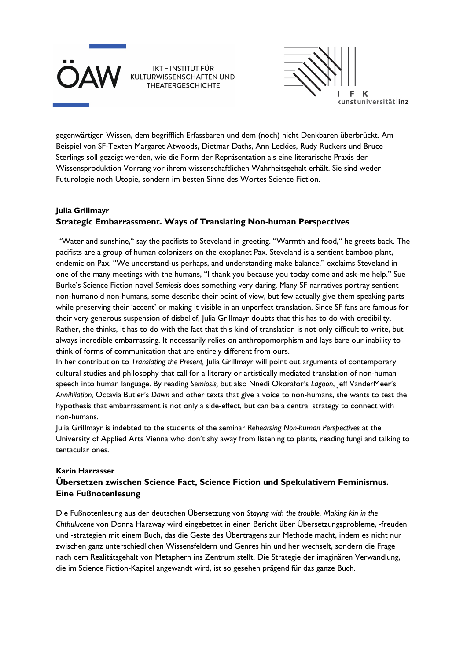



gegenwärtigen Wissen, dem begrifflich Erfassbaren und dem (noch) nicht Denkbaren überbrückt. Am Beispiel von SF-Texten Margaret Atwoods, Dietmar Daths, Ann Leckies, Rudy Ruckers und Bruce Sterlings soll gezeigt werden, wie die Form der Repräsentation als eine literarische Praxis der Wissensproduktion Vorrang vor ihrem wissenschaftlichen Wahrheitsgehalt erhält. Sie sind weder Futurologie noch Utopie, sondern im besten Sinne des Wortes Science Fiction.

## **Julia Grillmayr Strategic Embarrassment. Ways of Translating Non-human Perspectives**

"Water and sunshine," say the pacifists to Steveland in greeting. "Warmth and food," he greets back. The pacifists are a group of human colonizers on the exoplanet Pax. Steveland is a sentient bamboo plant, endemic on Pax. "We understand-us perhaps, and understanding make balance," exclaims Steveland in one of the many meetings with the humans, "I thank you because you today come and ask-me help." Sue Burke's Science Fiction novel *Semiosis* does something very daring. Many SF narratives portray sentient non-humanoid non-humans, some describe their point of view, but few actually give them speaking parts while preserving their 'accent' or making it visible in an unperfect translation. Since SF fans are famous for their very generous suspension of disbelief, Julia Grillmayr doubts that this has to do with credibility. Rather, she thinks, it has to do with the fact that this kind of translation is not only difficult to write, but always incredible embarrassing. It necessarily relies on anthropomorphism and lays bare our inability to think of forms of communication that are entirely different from ours.

In her contribution to *Translating the Present,* Julia Grillmayr will point out arguments of contemporary cultural studies and philosophy that call for a literary or artistically mediated translation of non-human speech into human language. By reading *Semiosis,* but also Nnedi Okorafor's *Lagoon*, Jeff VanderMeer's *Annihilation,* Octavia Butler's *Dawn* and other texts that give a voice to non-humans, she wants to test the hypothesis that embarrassment is not only a side-effect, but can be a central strategy to connect with non-humans.

Julia Grillmayr is indebted to the students of the seminar *Rehearsing Non-human Perspectives* at the University of Applied Arts Vienna who don't shy away from listening to plants, reading fungi and talking to tentacular ones.

## **Karin Harrasser Übersetzen zwischen Science Fact, Science Fiction und Spekulativem Feminismus. Eine Fußnotenlesung**

Die Fußnotenlesung aus der deutschen Übersetzung von *Staying with the trouble. Making kin in the Chthulucene* von Donna Haraway wird eingebettet in einen Bericht über Übersetzungsprobleme, -freuden und -strategien mit einem Buch, das die Geste des Übertragens zur Methode macht, indem es nicht nur zwischen ganz unterschiedlichen Wissensfeldern und Genres hin und her wechselt, sondern die Frage nach dem Realitätsgehalt von Metaphern ins Zentrum stellt. Die Strategie der imaginären Verwandlung, die im Science Fiction-Kapitel angewandt wird, ist so gesehen prägend für das ganze Buch.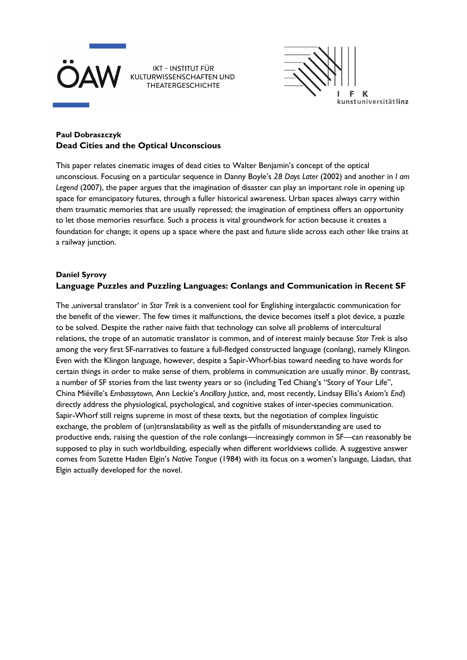



## **Paul Dobraszczyk Dead Cities and the Optical Unconscious**

This paper relates cinematic images of dead cities to Walter Benjamin's concept of the optical unconscious. Focusing on a particular sequence in Danny Boyle's *28 Days Later* (2002) and another in *I am Legend* (2007), the paper argues that the imagination of disaster can play an important role in opening up space for emancipatory futures, through a fuller historical awareness. Urban spaces always carry within them traumatic memories that are usually repressed; the imagination of emptiness offers an opportunity to let those memories resurface. Such a process is vital groundwork for action because it creates a foundation for change; it opens up a space where the past and future slide across each other like trains at a railway junction.

## **Daniel Syrovy Language Puzzles and Puzzling Languages: Conlangs and Communication in Recent SF**

The , universal translator' in *Star Trek* is a convenient tool for Englishing intergalactic communication for the benefit of the viewer. The few times it malfunctions, the device becomes itself a plot device, a puzzle to be solved. Despite the rather naive faith that technology can solve all problems of intercultural relations, the trope of an automatic translator is common, and of interest mainly because *Star Trek* is also among the very first SF-narratives to feature a full-fledged constructed language (conlang), namely Klingon. Even with the Klingon language, however, despite a Sapir-Whorf-bias toward needing to have words for certain things in order to make sense of them, problems in communication are usually minor. By contrast, a number of SF stories from the last twenty years or so (including Ted Chiang's "Story of Your Life", China Miéville's *Embassytown*, Ann Leckie's *Ancillary Justice*, and, most recently, Lindsay Ellis's *Axiom's End*) directly address the physiological, psychological, and cognitive stakes of inter-species communication. Sapir-Whorf still reigns supreme in most of these texts, but the negotiation of complex linguistic exchange, the problem of (un)translatability as well as the pitfalls of misunderstanding are used to productive ends, raising the question of the role conlangs—increasingly common in SF—can reasonably be supposed to play in such worldbuilding, especially when different worldviews collide. A suggestive answer comes from Suzette Haden Elgin's *Native Tongue* (1984) with its focus on a women's language, Láadan, that Elgin actually developed for the novel.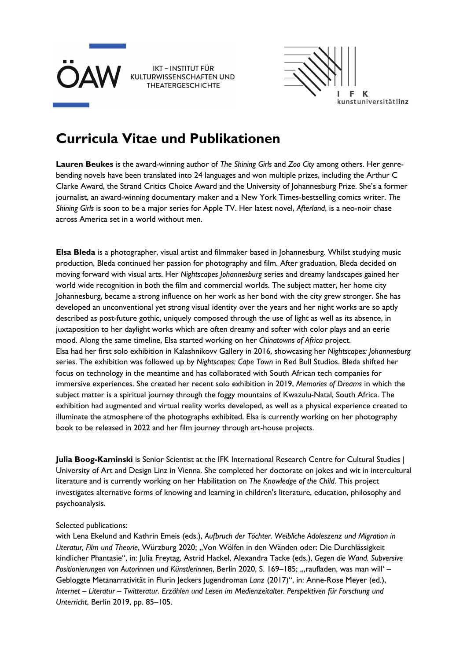



## **Curricula Vitae und Publikationen**

**Lauren Beukes** is the award-winning author of *The Shining Girls* and *Zoo City* among others. Her genrebending novels have been translated into 24 languages and won multiple prizes, including the Arthur C Clarke Award, the Strand Critics Choice Award and the University of Johannesburg Prize. She's a former journalist, an award-winning documentary maker and a New York Times-bestselling comics writer. *The Shining Girls* is soon to be a major series for Apple TV. Her latest novel, *Afterland*, is a neo-noir chase across America set in a world without men.

**Elsa Bleda** is a photographer, visual artist and filmmaker based in Johannesburg. Whilst studying music production, Bleda continued her passion for photography and film. After graduation, Bleda decided on moving forward with visual arts. Her *Nightscapes Johannesburg* series and dreamy landscapes gained her world wide recognition in both the film and commercial worlds. The subject matter, her home city Johannesburg, became a strong influence on her work as her bond with the city grew stronger. She has developed an unconventional yet strong visual identity over the years and her night works are so aptly described as post-future gothic, uniquely composed through the use of light as well as its absence, in juxtaposition to her daylight works which are often dreamy and softer with color plays and an eerie mood. Along the same timeline, Elsa started working on her *Chinatowns of Africa* project. Elsa had her first solo exhibition in Kalashnikovv Gallery in 2016, showcasing her *Nightscapes: Johannesburg*  series. The exhibition was followed up by *Nightscapes: Cape Town* in Red Bull Studios. Bleda shifted her focus on technology in the meantime and has collaborated with South African tech companies for immersive experiences. She created her recent solo exhibition in 2019, *Memories of Dreams* in which the subject matter is a spiritual journey through the foggy mountains of Kwazulu-Natal, South Africa. The exhibition had augmented and virtual reality works developed, as well as a physical experience created to illuminate the atmosphere of the photographs exhibited. Elsa is currently working on her photography book to be released in 2022 and her film journey through art-house projects.

**Julia Boog-Kaminski** is Senior Scientist at the IFK International Research Centre for Cultural Studies | University of Art and Design Linz in Vienna. She completed her doctorate on jokes and wit in intercultural literature and is currently working on her Habilitation on *The Knowledge of the Child*. This project investigates alternative forms of knowing and learning in children's literature, education, philosophy and psychoanalysis.

## Selected publications:

with Lena Ekelund and Kathrin Emeis (eds.), *Aufbruch der Töchter. Weibliche Adoleszenz und Migration in*  Literatur, Film und Theorie, Würzburg 2020; "Von Wölfen in den Wänden oder: Die Durchlässigkeit kindlicher Phantasie", in: Julia Freytag, Astrid Hackel, Alexandra Tacke (eds.), *Gegen die Wand. Subversive*  Positionierungen von Autorinnen und Künstlerinnen, Berlin 2020, S. 169–185; "raufladen, was man will' – Gebloggte Metanarrativität in Flurin Jeckers Jugendroman *Lanz* (2017)", in: Anne-Rose Meyer (ed.), *Internet – Literatur – Twitteratur. Erzählen und Lesen im Medienzeitalter. Perspektiven für Forschung und Unterricht*, Berlin 2019, pp. 85–105.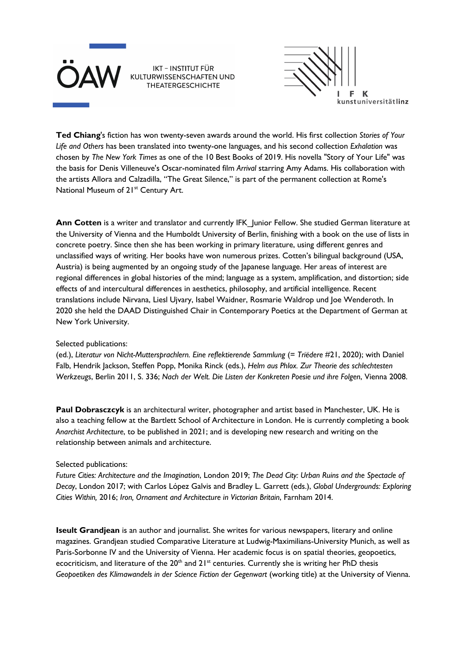



**Ted Chiang**'s fiction has won twenty-seven awards around the world. His first collection *Stories of Your Life and Others* has been translated into twenty-one languages, and his second collection *Exhalation* was chosen by *The New York Times* as one of the 10 Best Books of 2019. His novella "Story of Your Life" was the basis for Denis Villeneuve's Oscar-nominated film *Arrival* starring Amy Adams. His collaboration with the artists Allora and Calzadilla, "The Great Silence," is part of the permanent collection at Rome's National Museum of 21<sup>st</sup> Century Art.

Ann Cotten is a writer and translator and currently IFK Junior Fellow. She studied German literature at the University of Vienna and the Humboldt University of Berlin, finishing with a book on the use of lists in concrete poetry. Since then she has been working in primary literature, using different genres and unclassified ways of writing. Her books have won numerous prizes. Cotten's bilingual background (USA, Austria) is being augmented by an ongoing study of the Japanese language. Her areas of interest are regional differences in global histories of the mind; language as a system, amplification, and distortion; side effects of and intercultural differences in aesthetics, philosophy, and artificial intelligence. Recent translations include Nirvana, Liesl Ujvary, Isabel Waidner, Rosmarie Waldrop und Joe Wenderoth. In 2020 she held the DAAD Distinguished Chair in Contemporary Poetics at the Department of German at New York University.

#### Selected publications:

(ed.), *Literatur von Nicht-Muttersprachlern. Eine reflektierende Sammlung* (= *Triëdere* #21, 2020); with Daniel Falb, Hendrik Jackson, Steffen Popp, Monika Rinck (eds.), *Helm aus Phlox. Zur Theorie des schlechtesten Werkzeugs*, Berlin 2011, S. 336; *Nach der Welt. Die Listen der Konkreten Poesie und ihre Folgen*, Vienna 2008.

**Paul Dobrasczcyk** is an architectural writer, photographer and artist based in Manchester, UK. He is also a teaching fellow at the Bartlett School of Architecture in London. He is currently completing a book *Anarchist Architecture*, to be published in 2021; and is developing new research and writing on the relationship between animals and architecture.

#### Selected publications:

*Future Cities: Architecture and the Imagination*, London 2019; *The Dead City: Urban Ruins and the Spectacle of Decay*, London 2017; with Carlos López Galvis and Bradley L. Garrett (eds.), *Global Undergrounds: Exploring Cities Within,* 2016; *Iron, Ornament and Architecture in Victorian Britain*, Farnham 2014.

**Iseult Grandjean** is an author and journalist. She writes for various newspapers, literary and online magazines. Grandjean studied Comparative Literature at Ludwig-Maximilians-University Munich, as well as Paris-Sorbonne IV and the University of Vienna. Her academic focus is on spatial theories, geopoetics, ecocriticism, and literature of the  $20<sup>th</sup>$  and  $21<sup>st</sup>$  centuries. Currently she is writing her PhD thesis *Geopoetiken des Klimawandels in der Science Fiction der Gegenwart* (working title) at the University of Vienna.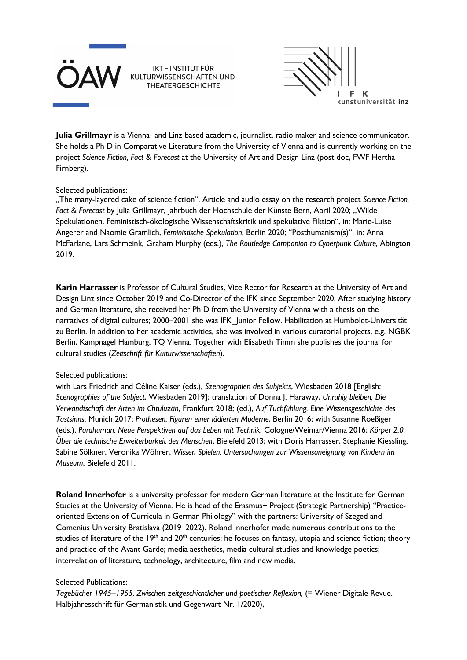



**Julia Grillmayr** is a Vienna- and Linz-based academic, journalist, radio maker and science communicator. She holds a Ph D in Comparative Literature from the University of Vienna and is currently working on the project *Science Fiction, Fact & Forecast* at the University of Art and Design Linz (post doc, FWF Hertha Firnberg).

#### Selected publications:

*"*The many-layered cake of science fiction", Article and audio essay on the research project *Science Fiction,*  Fact & Forecast by Julia Grillmayr, Jahrbuch der Hochschule der Künste Bern, April 2020; "Wilde Spekulationen. Feministisch-ökologische Wissenschaftskritik und spekulative Fiktion", in: Marie-Luise Angerer and Naomie Gramlich, *Feministische Spekulation*, Berlin 2020; "Posthumanism(s)", in: Anna McFarlane, Lars Schmeink, Graham Murphy (eds.), *The Routledge Companion to Cyberpunk Culture*, Abington 2019.

**Karin Harrasser** is Professor of Cultural Studies, Vice Rector for Research at the University of Art and Design Linz since October 2019 and Co-Director of the IFK since September 2020. After studying history and German literature, she received her Ph D from the University of Vienna with a thesis on the narratives of digital cultures; 2000–2001 she was IFK Junior Fellow. Habilitation at Humboldt-Universität zu Berlin. In addition to her academic activities, she was involved in various curatorial projects, e.g. NGBK Berlin, Kampnagel Hamburg, TQ Vienna. Together with Elisabeth Timm she publishes the journal for cultural studies (*Zeitschrift für Kulturwissenschaften*).

## Selected publications:

with Lars Friedrich and Céline Kaiser (eds.), *Szenographien des Subjekts*, Wiesbaden 2018 [English: *Scenographies of the Subject*, Wiesbaden 2019]; translation of Donna J. Haraway, *Unruhig bleiben, Die Verwandtschaft der Arten im Chtuluzän*, Frankfurt 2018; (ed.), *Auf Tuchfühlung. Eine Wissensgeschichte des Tastsinns*, Munich 2017; *Prothesen. Figuren einer lädierten Moderne*, Berlin 2016; with Susanne Roeßiger (eds.), *Parahuman. Neue Perspektiven auf das Leben mit Technik*, Cologne/Weimar/Vienna 2016; *Körper 2.0. Über die technische Erweiterbarkeit des Menschen*, Bielefeld 2013; with Doris Harrasser, Stephanie Kiessling, Sabine Sölkner, Veronika Wöhrer, *Wissen Spielen. Untersuchungen zur Wissensaneignung von Kindern im Museum*, Bielefeld 2011.

**Roland Innerhofer** is a university professor for modern German literature at the Institute for German Studies at the University of Vienna. He is head of the Erasmus+ Project (Strategic Partnership) "Practiceoriented Extension of Curricula in German Philology" with the partners: University of Szeged and Comenius University Bratislava (2019*–*2022). Roland Innerhofer made numerous contributions to the studies of literature of the 19<sup>th</sup> and 20<sup>th</sup> centuries; he focuses on fantasy, utopia and science fiction; theory and practice of the Avant Garde; media aesthetics, media cultural studies and knowledge poetics; interrelation of literature, technology, architecture, film and new media.

## Selected Publications:

*Tagebücher 1945–1955. Zwischen zeitgeschichtlicher und poetischer Reflexion,* (= Wiener Digitale Revue. Halbjahresschrift für Germanistik und Gegenwart Nr. 1/2020),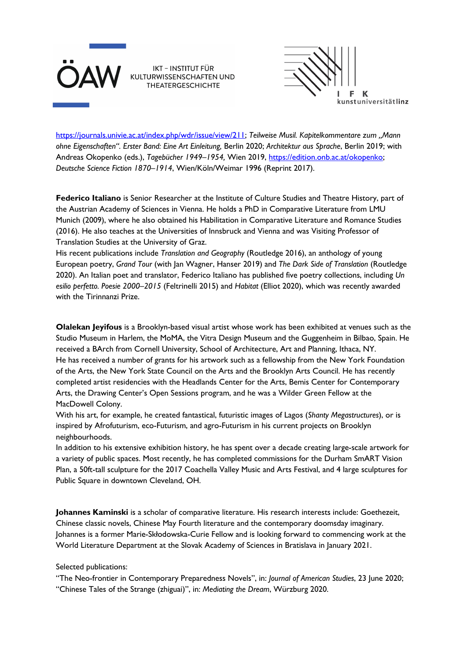



https://journals.univie.ac.at/index.php/wdr/issue/view/211; *Teilweise Musil. Kapitelkommentare zum "Mann ohne Eigenschaften". Erster Band: Eine Art Einleitung,* Berlin 2020; *Architektur aus Sprache*, Berlin 2019; with Andreas Okopenko (eds.), *Tagebücher 1949–1954,* Wien 2019, https://edition.onb.ac.at/okopenko; *Deutsche Science Fiction 1870–1914*, Wien/Köln/Weimar 1996 (Reprint 2017).

Federico Italiano is Senior Researcher at the Institute of Culture Studies and Theatre History, part of the Austrian Academy of Sciences in Vienna. He holds a PhD in Comparative Literature from LMU Munich (2009), where he also obtained his Habilitation in Comparative Literature and Romance Studies (2016). He also teaches at the Universities of Innsbruck and Vienna and was Visiting Professor of Translation Studies at the University of Graz.

His recent publications include *Translation and Geography* (Routledge 2016), an anthology of young European poetry, *Grand Tour* (with Jan Wagner, Hanser 2019) and *The Dark Side of Translation* (Routledge 2020). An Italian poet and translator, Federico Italiano has published five poetry collections, including *Un esilio perfetto. Poesie 2000–2015* (Feltrinelli 2015) and *Habitat* (Elliot 2020), which was recently awarded with the Tirinnanzi Prize.

**Olalekan Jeyifous** is a Brooklyn-based visual artist whose work has been exhibited at venues such as the Studio Museum in Harlem, the MoMA, the Vitra Design Museum and the Guggenheim in Bilbao, Spain. He received a BArch from Cornell University, School of Architecture, Art and Planning, Ithaca, NY. He has received a number of grants for his artwork such as a fellowship from the New York Foundation of the Arts, the New York State Council on the Arts and the Brooklyn Arts Council. He has recently completed artist residencies with the Headlands Center for the Arts, Bemis Center for Contemporary Arts, the Drawing Center's Open Sessions program, and he was a Wilder Green Fellow at the MacDowell Colony.

With his art, for example, he created fantastical, futuristic images of Lagos (*Shanty Megastructures*), or is inspired by Afrofuturism, eco-Futurism, and agro-Futurism in his current projects on Brooklyn neighbourhoods.

In addition to his extensive exhibition history, he has spent over a decade creating large-scale artwork for a variety of public spaces. Most recently, he has completed commissions for the Durham SmART Vision Plan, a 50ft-tall sculpture for the 2017 Coachella Valley Music and Arts Festival, and 4 large sculptures for Public Square in downtown Cleveland, OH.

**Johannes Kaminski** is a scholar of comparative literature. His research interests include: Goethezeit, Chinese classic novels, Chinese May Fourth literature and the contemporary doomsday imaginary. Johannes is a former Marie-Skłodowska-Curie Fellow and is looking forward to commencing work at the World Literature Department at the Slovak Academy of Sciences in Bratislava in January 2021.

Selected publications:

"The Neo-frontier in Contemporary Preparedness Novels", in: *Journal of American Studies*, 23 June 2020; "Chinese Tales of the Strange (zhiguai)", in: *Mediating the Dream*, Würzburg 2020.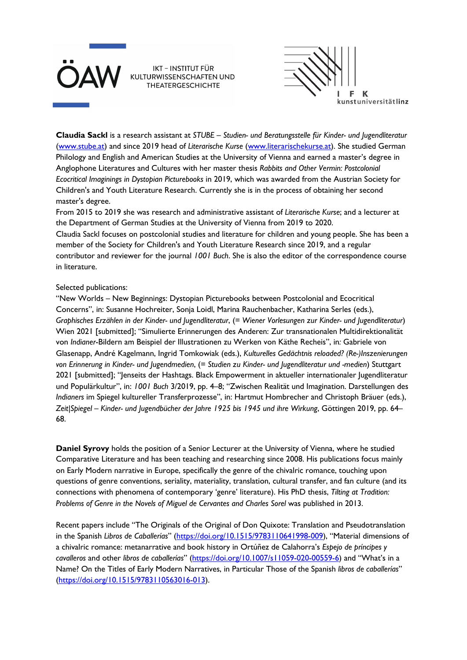



**Claudia Sackl** is a research assistant at *STUBE – Studien- und Beratungsstelle für Kinder- und Jugendliteratur* (www.stube.at) and since 2019 head of *Literarische Kurse* (www.literarischekurse.at). She studied German Philology and English and American Studies at the University of Vienna and earned a master's degree in Anglophone Literatures and Cultures with her master thesis *Rabbits and Other Vermin: Postcolonial Ecocritical Imaginings in Dystopian Picturebooks* in 2019, which was awarded from the Austrian Society for Children's and Youth Literature Research. Currently she is in the process of obtaining her second master's degree.

From 2015 to 2019 she was research and administrative assistant of *Literarische Kurse*; and a lecturer at the Department of German Studies at the University of Vienna from 2019 to 2020.

Claudia Sackl focuses on postcolonial studies and literature for children and young people. She has been a member of the Society for Children's and Youth Literature Research since 2019, and a regular contributor and reviewer for the journal *1001 Buch*. She is also the editor of the correspondence course in literature.

#### Selected publications:

"New Worlds – New Beginnings: Dystopian Picturebooks between Postcolonial and Ecocritical Concerns", in: Susanne Hochreiter, Sonja Loidl, Marina Rauchenbacher, Katharina Serles (eds.), *Graphisches Erzählen in der Kinder- und Jugendliteratur*, (= *Wiener Vorlesungen zur Kinder- und Jugendliteratur*) Wien 2021 [submitted]; "Simulierte Erinnerungen des Anderen: Zur transnationalen Multidirektionalität von *Indianer*-Bildern am Beispiel der Illustrationen zu Werken von Käthe Recheis", in*:* Gabriele von Glasenapp, André Kagelmann, Ingrid Tomkowiak (eds.), *Kulturelles Gedächtnis reloaded? (Re-)Inszenierungen von Erinnerung in Kinder- und Jugendmedien*, (= *Studien zu Kinder- und Jugendliteratur und -medien*) Stuttgart 2021 [submitted]; "Jenseits der Hashtags. Black Empowerment in aktueller internationaler Jugendliteratur und Populärkultur", in: *1001 Buch* 3/2019, pp. 4–8; "Zwischen Realität und Imagination. Darstellungen des *Indianers* im Spiegel kultureller Transferprozesse", in: Hartmut Hombrecher and Christoph Bräuer (eds.), *Zeit|Spiegel – Kinder- und Jugendbücher der Jahre 1925 bis 1945 und ihre Wirkung*, Göttingen 2019, pp. 64– 68.

**Daniel Syrovy** holds the position of a Senior Lecturer at the University of Vienna, where he studied Comparative Literature and has been teaching and researching since 2008. His publications focus mainly on Early Modern narrative in Europe, specifically the genre of the chivalric romance, touching upon questions of genre conventions, seriality, materiality, translation, cultural transfer, and fan culture (and its connections with phenomena of contemporary 'genre' literature). His PhD thesis, *Tilting at Tradition: Problems of Genre in the Novels of Miguel de Cervantes and Charles Sorel* was published in 2013.

Recent papers include "The Originals of the Original of Don Quixote: Translation and Pseudotranslation in the Spanish *Libros de Caballerías*" (https://doi.org/10.1515/9783110641998-009), "Material dimensions of a chivalric romance: metanarrative and book history in Ortúñez de Calahorra's *Espejo de príncipes y cavalleros* and other *libros de caballerías*" (https://doi.org/10.1007/s11059-020-00559-6) and "What's in a Name? On the Titles of Early Modern Narratives, in Particular Those of the Spanish *libros de caballerías*" (https://doi.org/10.1515/9783110563016-013).